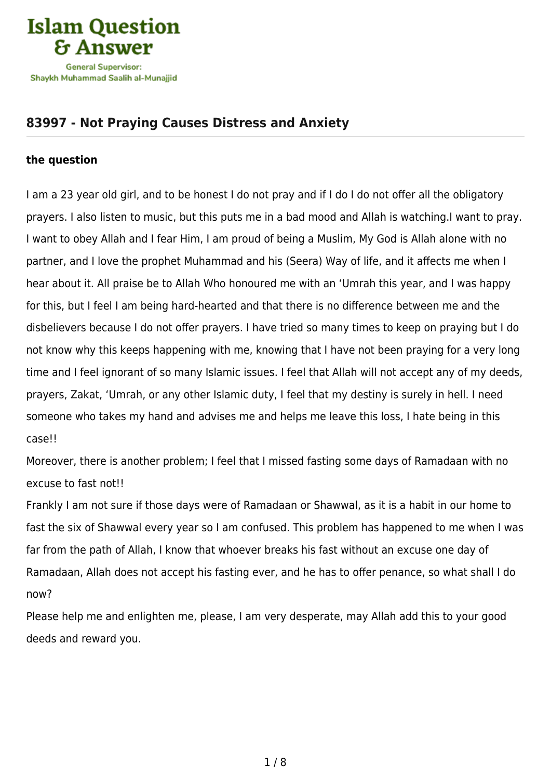

## **[83997 - Not Praying Causes Distress and Anxiety](https://islamqa.ws/en/answers/83997/not-praying-causes-distress-and-anxiety)**

## **the question**

I am a 23 year old girl, and to be honest I do not pray and if I do I do not offer all the obligatory prayers. I also listen to music, but this puts me in a bad mood and Allah is watching.I want to pray. I want to obey Allah and I fear Him, I am proud of being a Muslim, My God is Allah alone with no partner, and I love the prophet Muhammad and his (Seera) Way of life, and it affects me when I hear about it. All praise be to Allah Who honoured me with an 'Umrah this year, and I was happy for this, but I feel I am being hard-hearted and that there is no difference between me and the disbelievers because I do not offer prayers. I have tried so many times to keep on praying but I do not know why this keeps happening with me, knowing that I have not been praying for a very long time and I feel ignorant of so many Islamic issues. I feel that Allah will not accept any of my deeds, prayers, Zakat, 'Umrah, or any other Islamic duty, I feel that my destiny is surely in hell. I need someone who takes my hand and advises me and helps me leave this loss, I hate being in this case!!

Moreover, there is another problem; I feel that I missed fasting some days of Ramadaan with no excuse to fast not!!

Frankly I am not sure if those days were of Ramadaan or Shawwal, as it is a habit in our home to fast the six of Shawwal every year so I am confused. This problem has happened to me when I was far from the path of Allah, I know that whoever breaks his fast without an excuse one day of Ramadaan, Allah does not accept his fasting ever, and he has to offer penance, so what shall I do now?

Please help me and enlighten me, please, I am very desperate, may Allah add this to your good deeds and reward you.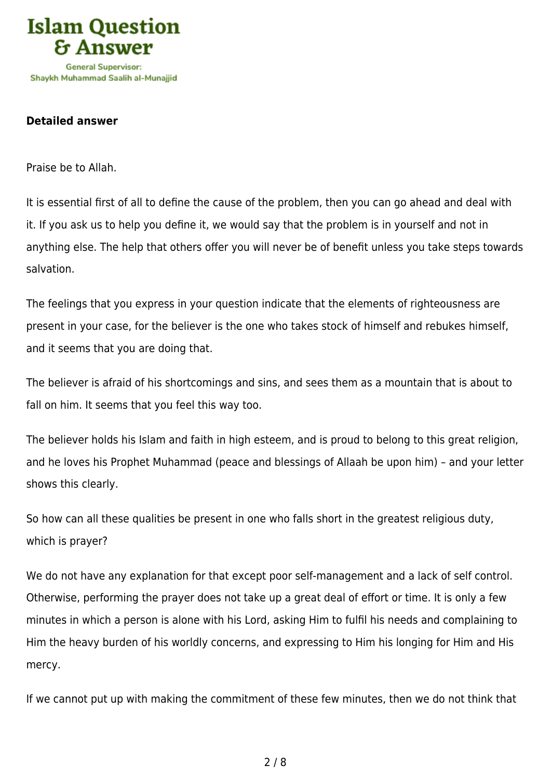

## **Detailed answer**

Praise be to Allah.

It is essential first of all to define the cause of the problem, then you can go ahead and deal with it. If you ask us to help you define it, we would say that the problem is in yourself and not in anything else. The help that others offer you will never be of benefit unless you take steps towards salvation.

The feelings that you express in your question indicate that the elements of righteousness are present in your case, for the believer is the one who takes stock of himself and rebukes himself, and it seems that you are doing that.

The believer is afraid of his shortcomings and sins, and sees them as a mountain that is about to fall on him. It seems that you feel this way too.

The believer holds his Islam and faith in high esteem, and is proud to belong to this great religion, and he loves his Prophet Muhammad (peace and blessings of Allaah be upon him) – and your letter shows this clearly.

So how can all these qualities be present in one who falls short in the greatest religious duty, which is prayer?

We do not have any explanation for that except poor self-management and a lack of self control. Otherwise, performing the prayer does not take up a great deal of effort or time. It is only a few minutes in which a person is alone with his Lord, asking Him to fulfil his needs and complaining to Him the heavy burden of his worldly concerns, and expressing to Him his longing for Him and His mercy.

If we cannot put up with making the commitment of these few minutes, then we do not think that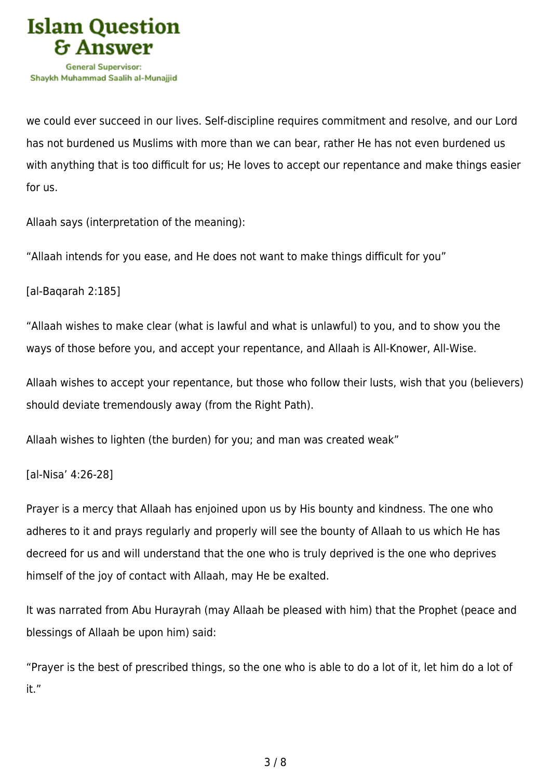

we could ever succeed in our lives. Self-discipline requires commitment and resolve, and our Lord has not burdened us Muslims with more than we can bear, rather He has not even burdened us with anything that is too difficult for us; He loves to accept our repentance and make things easier for us.

Allaah says (interpretation of the meaning):

"Allaah intends for you ease, and He does not want to make things difficult for you"

[al-Baqarah 2:185]

"Allaah wishes to make clear (what is lawful and what is unlawful) to you, and to show you the ways of those before you, and accept your repentance, and Allaah is All-Knower, All-Wise.

Allaah wishes to accept your repentance, but those who follow their lusts, wish that you (believers) should deviate tremendously away (from the Right Path).

Allaah wishes to lighten (the burden) for you; and man was created weak"

[al-Nisa' 4:26-28]

Prayer is a mercy that Allaah has enjoined upon us by His bounty and kindness. The one who adheres to it and prays regularly and properly will see the bounty of Allaah to us which He has decreed for us and will understand that the one who is truly deprived is the one who deprives himself of the joy of contact with Allaah, may He be exalted.

It was narrated from Abu Hurayrah (may Allaah be pleased with him) that the Prophet (peace and blessings of Allaah be upon him) said:

"Prayer is the best of prescribed things, so the one who is able to do a lot of it, let him do a lot of it."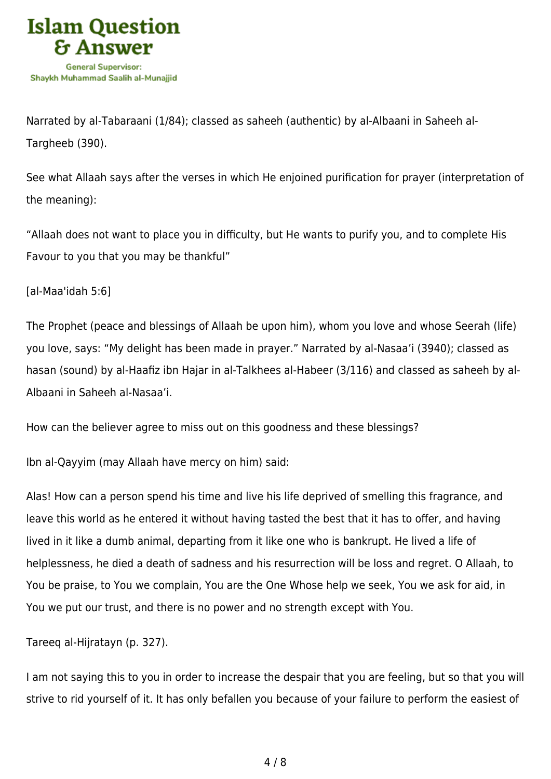

Narrated by al-Tabaraani (1/84); classed as saheeh (authentic) by al-Albaani in Saheeh al-Targheeb (390).

See what Allaah says after the verses in which He enjoined purification for prayer (interpretation of the meaning):

"Allaah does not want to place you in difficulty, but He wants to purify you, and to complete His Favour to you that you may be thankful"

[al-Maa'idah 5:6]

The Prophet (peace and blessings of Allaah be upon him), whom you love and whose Seerah (life) you love, says: "My delight has been made in prayer." Narrated by al-Nasaa'i (3940); classed as hasan (sound) by al-Haafiz ibn Hajar in al-Talkhees al-Habeer (3/116) and classed as saheeh by al-Albaani in Saheeh al-Nasaa'i.

How can the believer agree to miss out on this goodness and these blessings?

Ibn al-Qayyim (may Allaah have mercy on him) said:

Alas! How can a person spend his time and live his life deprived of smelling this fragrance, and leave this world as he entered it without having tasted the best that it has to offer, and having lived in it like a dumb animal, departing from it like one who is bankrupt. He lived a life of helplessness, he died a death of sadness and his resurrection will be loss and regret. O Allaah, to You be praise, to You we complain, You are the One Whose help we seek, You we ask for aid, in You we put our trust, and there is no power and no strength except with You.

Tareeq al-Hijratayn (p. 327).

I am not saying this to you in order to increase the despair that you are feeling, but so that you will strive to rid yourself of it. It has only befallen you because of your failure to perform the easiest of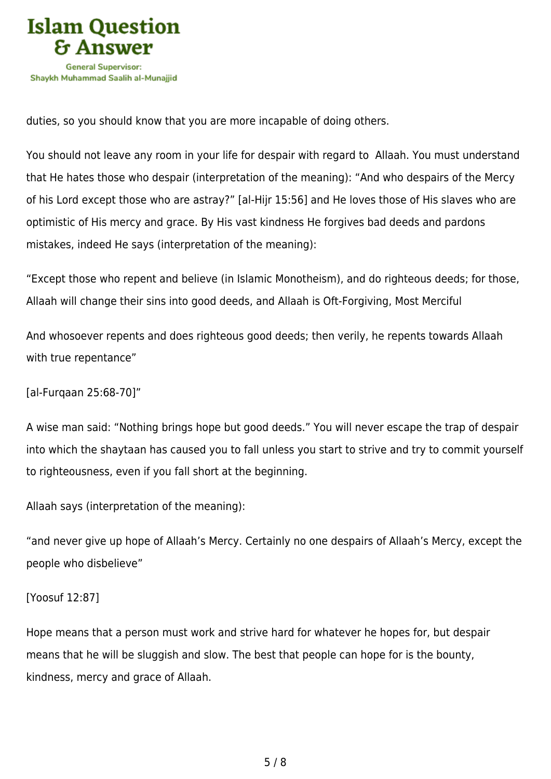

duties, so you should know that you are more incapable of doing others.

You should not leave any room in your life for despair with regard to Allaah. You must understand that He hates those who despair (interpretation of the meaning): "And who despairs of the Mercy of his Lord except those who are astray?" [al-Hijr 15:56] and He loves those of His slaves who are optimistic of His mercy and grace. By His vast kindness He forgives bad deeds and pardons mistakes, indeed He says (interpretation of the meaning):

"Except those who repent and believe (in Islamic Monotheism), and do righteous deeds; for those, Allaah will change their sins into good deeds, and Allaah is Oft‑Forgiving, Most Merciful

And whosoever repents and does righteous good deeds; then verily, he repents towards Allaah with true repentance"

[al-Furqaan 25:68-70]"

A wise man said: "Nothing brings hope but good deeds." You will never escape the trap of despair into which the shaytaan has caused you to fall unless you start to strive and try to commit yourself to righteousness, even if you fall short at the beginning.

Allaah says (interpretation of the meaning):

"and never give up hope of Allaah's Mercy. Certainly no one despairs of Allaah's Mercy, except the people who disbelieve"

## [Yoosuf 12:87]

Hope means that a person must work and strive hard for whatever he hopes for, but despair means that he will be sluggish and slow. The best that people can hope for is the bounty, kindness, mercy and grace of Allaah.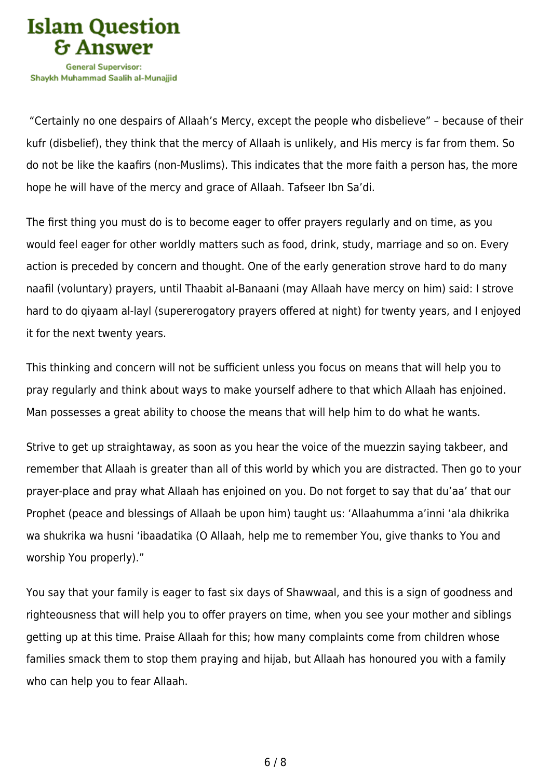

 "Certainly no one despairs of Allaah's Mercy, except the people who disbelieve" – because of their kufr (disbelief), they think that the mercy of Allaah is unlikely, and His mercy is far from them. So do not be like the kaafirs (non-Muslims). This indicates that the more faith a person has, the more hope he will have of the mercy and grace of Allaah. Tafseer Ibn Sa'di.

The first thing you must do is to become eager to offer prayers regularly and on time, as you would feel eager for other worldly matters such as food, drink, study, marriage and so on. Every action is preceded by concern and thought. One of the early generation strove hard to do many naafil (voluntary) prayers, until Thaabit al-Banaani (may Allaah have mercy on him) said: I strove hard to do qiyaam al-layl (supererogatory prayers offered at night) for twenty years, and I enjoyed it for the next twenty years.

This thinking and concern will not be sufficient unless you focus on means that will help you to pray regularly and think about ways to make yourself adhere to that which Allaah has enjoined. Man possesses a great ability to choose the means that will help him to do what he wants.

Strive to get up straightaway, as soon as you hear the voice of the muezzin saying takbeer, and remember that Allaah is greater than all of this world by which you are distracted. Then go to your prayer-place and pray what Allaah has enjoined on you. Do not forget to say that du'aa' that our Prophet (peace and blessings of Allaah be upon him) taught us: 'Allaahumma a'inni 'ala dhikrika wa shukrika wa husni 'ibaadatika (O Allaah, help me to remember You, give thanks to You and worship You properly)."

You say that your family is eager to fast six days of Shawwaal, and this is a sign of goodness and righteousness that will help you to offer prayers on time, when you see your mother and siblings getting up at this time. Praise Allaah for this; how many complaints come from children whose families smack them to stop them praying and hijab, but Allaah has honoured you with a family who can help you to fear Allaah.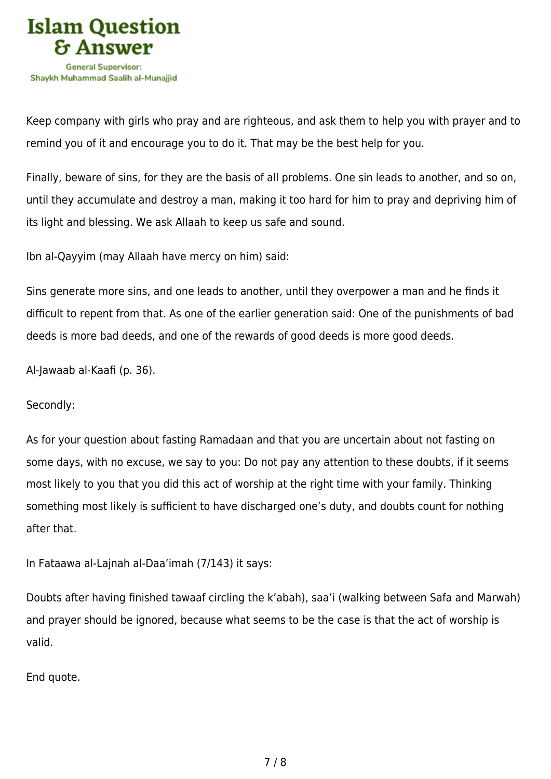

Keep company with girls who pray and are righteous, and ask them to help you with prayer and to remind you of it and encourage you to do it. That may be the best help for you.

Finally, beware of sins, for they are the basis of all problems. One sin leads to another, and so on, until they accumulate and destroy a man, making it too hard for him to pray and depriving him of its light and blessing. We ask Allaah to keep us safe and sound.

Ibn al-Qayyim (may Allaah have mercy on him) said:

Sins generate more sins, and one leads to another, until they overpower a man and he finds it difficult to repent from that. As one of the earlier generation said: One of the punishments of bad deeds is more bad deeds, and one of the rewards of good deeds is more good deeds.

Al-Jawaab al-Kaafi (p. 36).

Secondly:

As for your question about fasting Ramadaan and that you are uncertain about not fasting on some days, with no excuse, we say to you: Do not pay any attention to these doubts, if it seems most likely to you that you did this act of worship at the right time with your family. Thinking something most likely is sufficient to have discharged one's duty, and doubts count for nothing after that.

In Fataawa al-Lajnah al-Daa'imah (7/143) it says:

Doubts after having finished tawaaf circling the k'abah), saa'i (walking between Safa and Marwah) and prayer should be ignored, because what seems to be the case is that the act of worship is valid.

End quote.